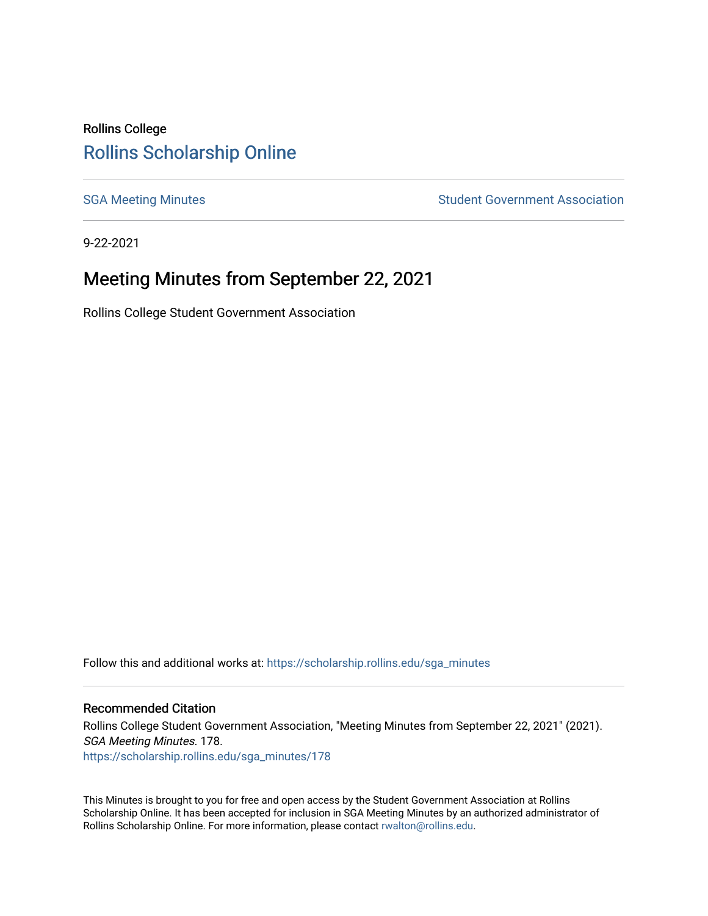# Rollins College [Rollins Scholarship Online](https://scholarship.rollins.edu/)

[SGA Meeting Minutes](https://scholarship.rollins.edu/sga_minutes) **SGA Meeting Minutes** SGA Meeting Minutes **STEER** Student Government Association

9-22-2021

# Meeting Minutes from September 22, 2021

Rollins College Student Government Association

Follow this and additional works at: [https://scholarship.rollins.edu/sga\\_minutes](https://scholarship.rollins.edu/sga_minutes?utm_source=scholarship.rollins.edu%2Fsga_minutes%2F178&utm_medium=PDF&utm_campaign=PDFCoverPages)

#### Recommended Citation

Rollins College Student Government Association, "Meeting Minutes from September 22, 2021" (2021). SGA Meeting Minutes. 178. [https://scholarship.rollins.edu/sga\\_minutes/178](https://scholarship.rollins.edu/sga_minutes/178?utm_source=scholarship.rollins.edu%2Fsga_minutes%2F178&utm_medium=PDF&utm_campaign=PDFCoverPages)

This Minutes is brought to you for free and open access by the Student Government Association at Rollins Scholarship Online. It has been accepted for inclusion in SGA Meeting Minutes by an authorized administrator of Rollins Scholarship Online. For more information, please contact [rwalton@rollins.edu](mailto:rwalton@rollins.edu).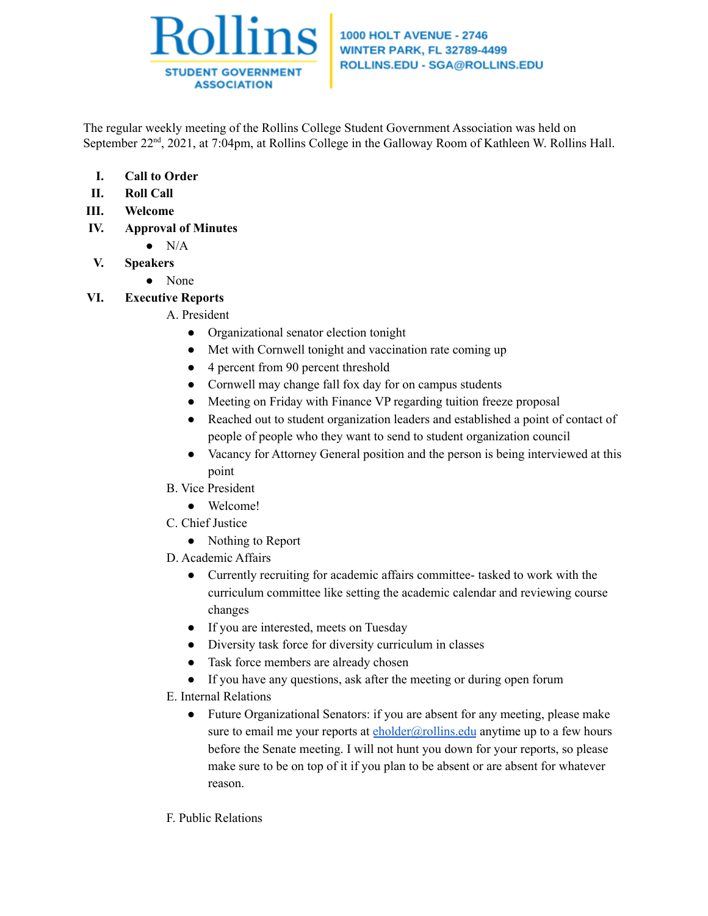

## **1000 HOLT AVENUE - 2746 WINTER PARK, FL 32789-4499** ROLLINS.EDU - SGA@ROLLINS.EDU

The regular weekly meeting of the Rollins College Student Government Association was held on September 22<sup>nd</sup>, 2021, at 7:04pm, at Rollins College in the Galloway Room of Kathleen W. Rollins Hall.

- **I. Call to Order**
- **II. Roll Call**
- **III. Welcome**
- **IV. Approval of Minutes**
	- $\bullet$  N/A
- **V. Speakers**
	- **●** None

# **VI. Executive Reports**

# A. President

- Organizational senator election tonight
- Met with Cornwell tonight and vaccination rate coming up
- 4 percent from 90 percent threshold
- Cornwell may change fall fox day for on campus students
- Meeting on Friday with Finance VP regarding tuition freeze proposal
- Reached out to student organization leaders and established a point of contact of people of people who they want to send to student organization council
- Vacancy for Attorney General position and the person is being interviewed at this point
- B. Vice President
	- Welcome!
- C. Chief Justice
	- Nothing to Report
- D. Academic Affairs
	- Currently recruiting for academic affairs committee- tasked to work with the curriculum committee like setting the academic calendar and reviewing course changes
	- If you are interested, meets on Tuesday
	- Diversity task force for diversity curriculum in classes
	- Task force members are already chosen
	- If you have any questions, ask after the meeting or during open forum
- E. Internal Relations
	- Future Organizational Senators: if you are absent for any meeting, please make sure to email me your reports at  $\frac{eholder(\partial_i rollins.edu)}{en}$  anytime up to a few hours before the Senate meeting. I will not hunt you down for your reports, so please make sure to be on top of it if you plan to be absent or are absent for whatever reason.
- F. Public Relations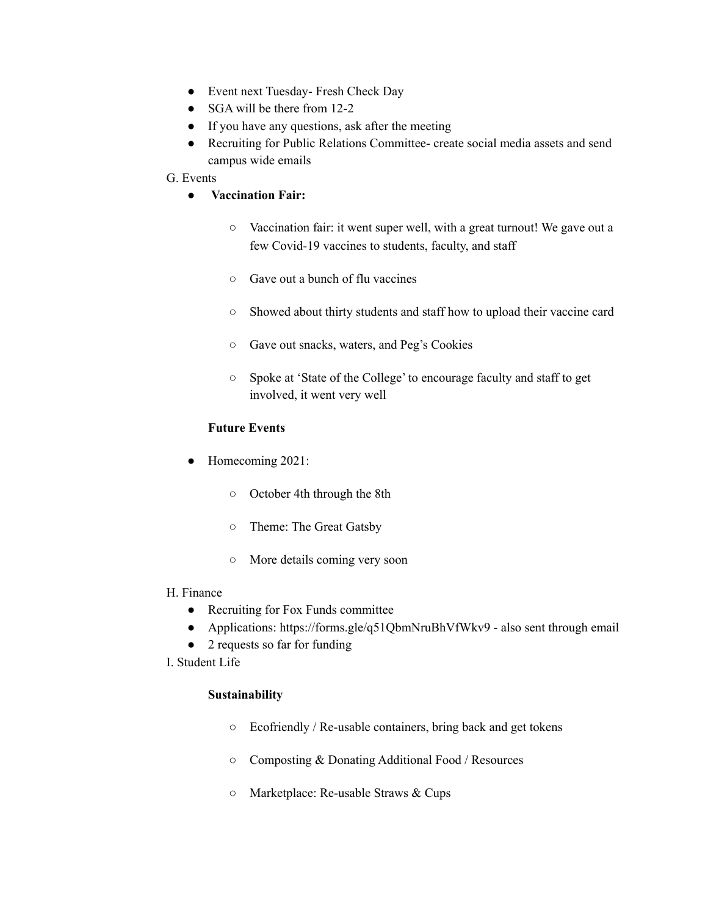- Event next Tuesday- Fresh Check Day
- SGA will be there from 12-2
- If you have any questions, ask after the meeting
- Recruiting for Public Relations Committee- create social media assets and send campus wide emails

## G. Events

- **Vaccination Fair:**
	- Vaccination fair: it went super well, with a great turnout! We gave out a few Covid-19 vaccines to students, faculty, and staff
	- Gave out a bunch of flu vaccines
	- Showed about thirty students and staff how to upload their vaccine card
	- Gave out snacks, waters, and Peg's Cookies
	- Spoke at 'State of the College' to encourage faculty and staff to get involved, it went very well

# **Future Events**

- Homecoming 2021:
	- October 4th through the 8th
	- Theme: The Great Gatsby
	- More details coming very soon

#### H. Finance

- Recruiting for Fox Funds committee
- Applications: https://forms.gle/q51QbmNruBhVfWkv9 also sent through email
- 2 requests so far for funding
- I. Student Life

# **Sustainability**

- Ecofriendly / Re-usable containers, bring back and get tokens
- Composting & Donating Additional Food / Resources
- Marketplace: Re-usable Straws & Cups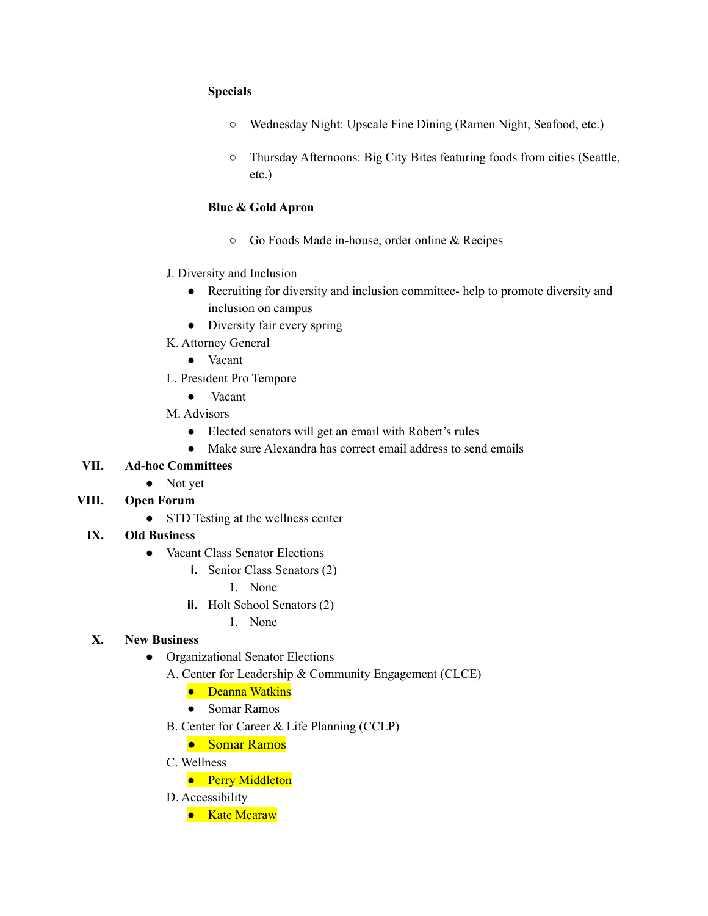## **Specials**

- Wednesday Night: Upscale Fine Dining (Ramen Night, Seafood, etc.)
- Thursday Afternoons: Big City Bites featuring foods from cities (Seattle, etc.)

# **Blue & Gold Apron**

- Go Foods Made in-house, order online & Recipes
- J. Diversity and Inclusion
	- Recruiting for diversity and inclusion committee- help to promote diversity and inclusion on campus
	- Diversity fair every spring
- K. Attorney General
	- Vacant
- L. President Pro Tempore
	- Vacant
- M. Advisors
	- Elected senators will get an email with Robert's rules
	- Make sure Alexandra has correct email address to send emails

# **VII. Ad-hoc Committees**

● Not yet

# **VIII. Open Forum**

• STD Testing at the wellness center

# **IX. Old Business**

- **●** Vacant Class Senator Elections
	- **i.** Senior Class Senators (2)
		- 1. None
	- **ii.** Holt School Senators (2)
		- 1. None

# **X. New Business**

- **●** Organizational Senator Elections
	- A. Center for Leadership & Community Engagement (CLCE)
		- Deanna Watkins
		- Somar Ramos
	- B. Center for Career & Life Planning (CCLP)
		- Somar Ramos
	- C. Wellness
		- Perry Middleton
	- D. Accessibility
		- Kate Mcaraw